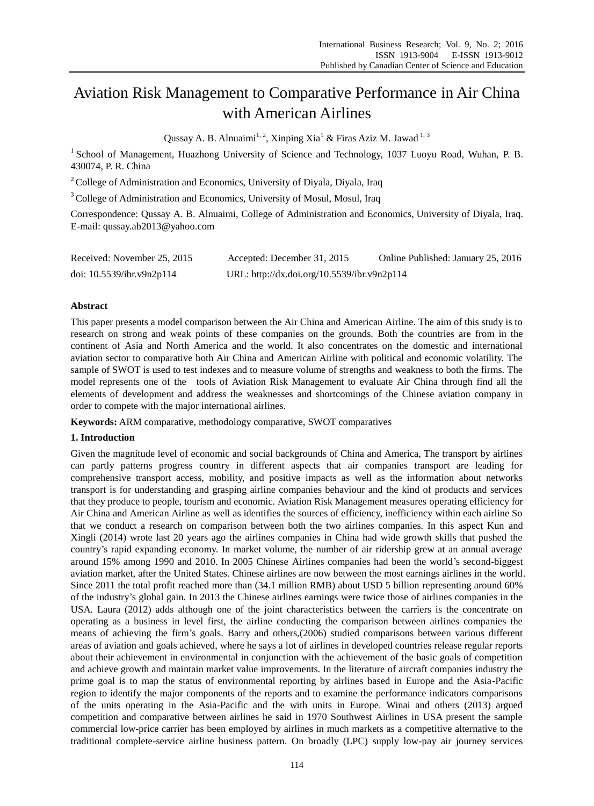# Aviation Risk Management to Comparative Performance in Air China with American Airlines

Qussay A. B. Alnuaimi<sup>1, 2</sup>, Xinping Xia<sup>1</sup> & Firas Aziz M. Jawad<sup>1, 3</sup>

 $1$  School of Management, Huazhong University of Science and Technology, 1037 Luoyu Road, Wuhan, P. B. 430074, P. R. China

<sup>2</sup> College of Administration and Economics, University of Diyala, Diyala, Iraq

<sup>3</sup> College of Administration and Economics, University of Mosul, Mosul, Iraq

Correspondence: Qussay A. B. Alnuaimi, College of Administration and Economics, University of Diyala, Iraq. E-mail: qussay.ab2013@yahoo.com

| Received: November 25, 2015  | Accepted: December 31, 2015                 | Online Published: January 25, 2016 |
|------------------------------|---------------------------------------------|------------------------------------|
| doi: $10.5539$ /ibr.v9n2p114 | URL: http://dx.doi.org/10.5539/ibr.v9n2p114 |                                    |

# **Abstract**

This paper presents a model comparison between the Air China and American Airline. The aim of this study is to research on strong and weak points of these companies on the grounds. Both the countries are from in the continent of Asia and North America and the world. It also concentrates on the domestic and international aviation sector to comparative both Air China and American Airline with political and economic volatility. The sample of SWOT is used to test indexes and to measure volume of strengths and weakness to both the firms. The model represents one of the tools of Aviation Risk Management to evaluate Air China through find all the elements of development and address the weaknesses and shortcomings of the Chinese aviation company in order to compete with the major international airlines.

**Keywords:** ARM comparative, methodology comparative, SWOT comparatives

#### **1. Introduction**

Given the magnitude level of economic and social backgrounds of China and America, The transport by airlines can partly patterns progress country in different aspects that air companies transport are leading for comprehensive transport access, mobility, and positive impacts as well as the information about networks transport is for understanding and grasping airline companies behaviour and the kind of products and services that they produce to people, tourism and economic. Aviation Risk Management measures operating efficiency for Air China and American Airline as well as identifies the sources of efficiency, inefficiency within each airline So that we conduct a research on comparison between both the two airlines companies. In this aspect Kun and Xingli (2014) wrote last 20 years ago the airlines companies in China had wide growth skills that pushed the country's rapid expanding economy. In market volume, the number of air ridership grew at an annual average around 15% among 1990 and 2010. In 2005 Chinese Airlines companies had been the world's second-biggest aviation market, after the United States. Chinese airlines are now between the most earnings airlines in the world. Since 2011 the total profit reached more than (34.1 million RMB) about USD 5 billion representing around 60% of the industry's global gain. In 2013 the Chinese airlines earnings were twice those of airlines companies in the USA. Laura (2012) adds although one of the joint characteristics between the carriers is the concentrate on operating as a business in level first, the airline conducting the comparison between airlines companies the means of achieving the firm's goals. Barry and others,(2006) studied comparisons between various different areas of aviation and goals achieved, where he says a lot of airlines in developed countries release regular reports about their achievement in environmental in conjunction with the achievement of the basic goals of competition and achieve growth and maintain market value improvements. In the literature of aircraft companies industry the prime goal is to map the status of environmental reporting by airlines based in Europe and the Asia-Pacific region to identify the major components of the reports and to examine the performance indicators comparisons of the units operating in the Asia-Pacific and the with units in Europe. Winai and others (2013) argued competition and comparative between airlines he said in 1970 Southwest Airlines in USA present the sample commercial low-price carrier has been employed by airlines in much markets as a competitive alternative to the traditional complete-service airline business pattern. On broadly (LPC) supply low-pay air journey services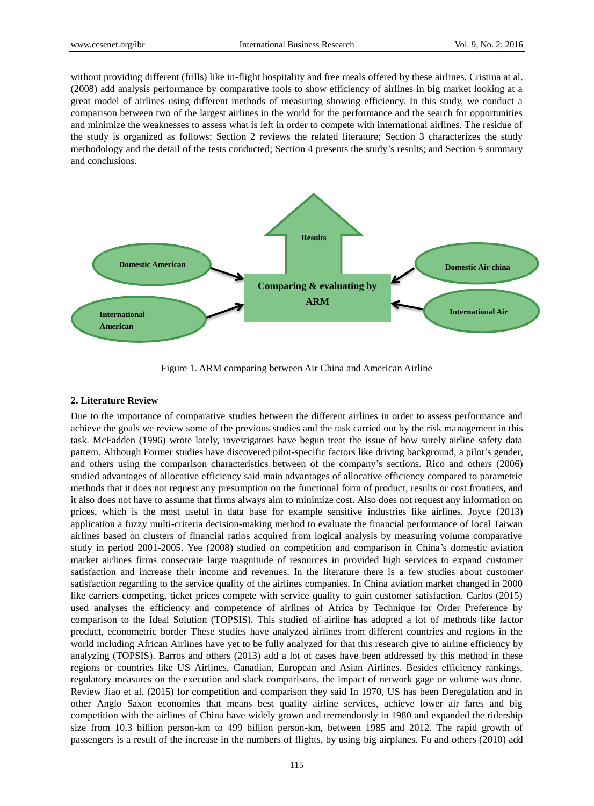without providing different (frills) like in-flight hospitality and free meals offered by these airlines. Cristina at al. (2008) add analysis performance by comparative tools to show efficiency of airlines in big market looking at a great model of airlines using different methods of measuring showing efficiency. In this study, we conduct a comparison between two of the largest airlines in the world for the performance and the search for opportunities and minimize the weaknesses to assess what is left in order to compete with international airlines. The residue of the study is organized as follows: Section 2 reviews the related literature; Section 3 characterizes the study methodology and the detail of the tests conducted; Section 4 presents the study's results; and Section 5 summary and conclusions.



Figure 1. ARM comparing between Air China and American Airline

## **2. Literature Review**

Due to the importance of comparative studies between the different airlines in order to assess performance and achieve the goals we review some of the previous studies and the task carried out by the risk management in this task. McFadden (1996) wrote lately, investigators have begun treat the issue of how surely airline safety data pattern. Although Former studies have discovered pilot-specific factors like driving background, a pilot's gender, and others using the comparison characteristics between of the company's sections. Rico and others (2006) studied advantages of allocative efficiency said main advantages of allocative efficiency compared to parametric methods that it does not request any presumption on the functional form of product, results or cost frontiers, and it also does not have to assume that firms always aim to minimize cost. Also does not request any information on prices, which is the most useful in data base for example sensitive industries like airlines. Joyce (2013) application a fuzzy multi-criteria decision-making method to evaluate the financial performance of local Taiwan airlines based on clusters of financial ratios acquired from logical analysis by measuring volume comparative study in period 2001-2005. Yee (2008) studied on competition and comparison in China's domestic aviation market airlines firms consecrate large magnitude of resources in provided high services to expand customer satisfaction and increase their income and revenues. In the literature there is a few studies about customer satisfaction regarding to the service quality of the airlines companies. In China aviation market changed in 2000 like carriers competing, ticket prices compete with service quality to gain customer satisfaction. Carlos (2015) used analyses the efficiency and competence of airlines of Africa by Technique for Order Preference by comparison to the Ideal Solution (TOPSIS). This studied of airline has adopted a lot of methods like factor product, econometric border These studies have analyzed airlines from different countries and regions in the world including African Airlines have yet to be fully analyzed for that this research give to airline efficiency by analyzing (TOPSIS). Barros and others (2013) add a lot of cases have been addressed by this method in these regions or countries like US Airlines, Canadian, European and Asian Airlines. Besides efficiency rankings, regulatory measures on the execution and slack comparisons, the impact of network gage or volume was done. Review Jiao et al. (2015) for competition and comparison they said In 1970, US has been Deregulation and in other Anglo Saxon economies that means best quality airline services, achieve lower air fares and big competition with the airlines of China have widely grown and tremendously in 1980 and expanded the ridership size from 10.3 billion person-km to 499 billion person-km, between 1985 and 2012. The rapid growth of passengers is a result of the increase in the numbers of flights, by using big airplanes. Fu and others (2010) add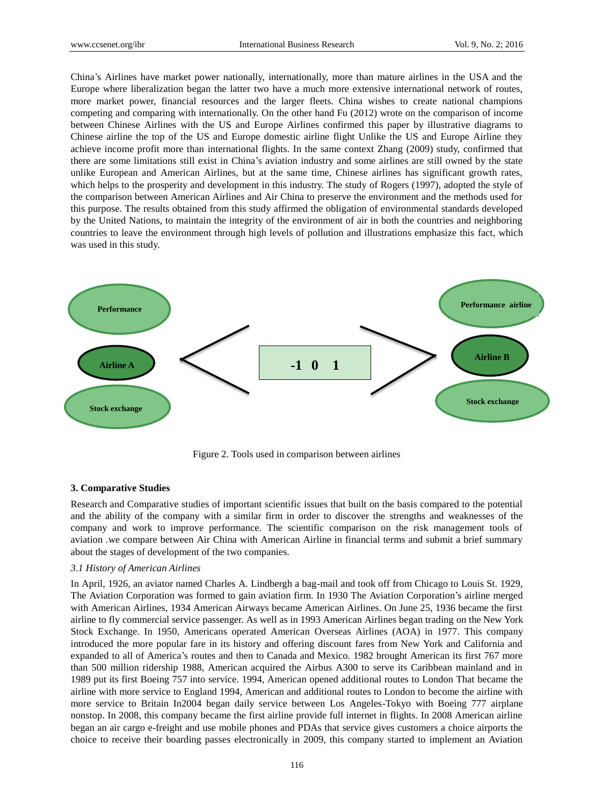China's Airlines have market power nationally, internationally, more than mature airlines in the USA and the Europe where liberalization began the latter two have a much more extensive international network of routes, more market power, financial resources and the larger fleets. China wishes to create national champions competing and comparing with internationally. On the other hand Fu (2012) wrote on the comparison of income between Chinese Airlines with the US and Europe Airlines confirmed this paper by illustrative diagrams to Chinese airline the top of the US and Europe domestic airline flight Unlike the US and Europe Airline they achieve income profit more than international flights. In the same context Zhang (2009) study, confirmed that there are some limitations still exist in China's aviation industry and some airlines are still owned by the state unlike European and American Airlines, but at the same time, Chinese airlines has significant growth rates, which helps to the prosperity and development in this industry. The study of Rogers (1997), adopted the style of the comparison between American Airlines and Air China to preserve the environment and the methods used for this purpose. The results obtained from this study affirmed the obligation of environmental standards developed by the United Nations, to maintain the integrity of the environment of air in both the countries and neighboring countries to leave the environment through high levels of pollution and illustrations emphasize this fact, which was used in this study.



Figure 2. Tools used in comparison between airlines

#### **3. Comparative Studies**

Research and Comparative studies of important scientific issues that built on the basis compared to the potential and the ability of the company with a similar firm in order to discover the strengths and weaknesses of the company and work to improve performance. The scientific comparison on the risk management tools of aviation .we compare between Air China with American Airline in financial terms and submit a brief summary about the stages of development of the two companies.

#### *3.1 History of American Airlines*

In April, 1926, an aviator named Charles A. Lindbergh a bag-mail and took off from Chicago to Louis St. 1929, The Aviation Corporation was formed to gain aviation firm. In 1930 The Aviation Corporation's airline merged with American Airlines, 1934 American Airways became American Airlines. On June 25, 1936 became the first airline to fly commercial service passenger. As well as in 1993 American Airlines began trading on the New York Stock Exchange. In 1950, Americans operated American Overseas Airlines (AOA) in 1977. This company introduced the more popular fare in its history and offering discount fares from New York and California and expanded to all of America's routes and then to Canada and Mexico. 1982 brought American its first 767 more than 500 million ridership 1988, American acquired the Airbus A300 to serve its Caribbean mainland and in 1989 put its first Boeing 757 into service. 1994, American opened additional routes to London That became the airline with more service to England 1994, American and additional routes to London to become the airline with more service to Britain In2004 began daily service between Los Angeles-Tokyo with Boeing 777 airplane nonstop. In 2008, this company became the first airline provide full internet in flights. In 2008 American airline began an air cargo e-freight and use mobile phones and PDAs that service gives customers a choice airports the choice to receive their boarding passes electronically in 2009, this company started to implement an Aviation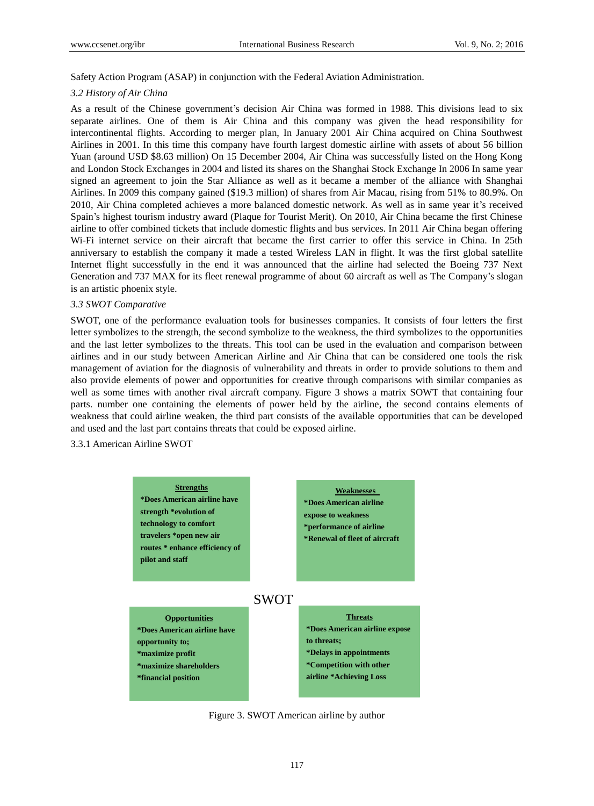Safety Action Program (ASAP) in conjunction with the Federal Aviation Administration.

#### *3.2 History of Air China*

As a result of the Chinese government's decision Air China was formed in 1988. This divisions lead to six separate airlines. One of them is Air China and this company was given the head responsibility for intercontinental flights. According to merger plan, In January 2001 Air China acquired on China Southwest Airlines in 2001. In this time this company have fourth largest domestic airline with assets of about 56 billion Yuan (around USD \$8.63 million) On 15 December 2004, Air China was successfully listed on the Hong Kong and London Stock Exchanges in 2004 and listed its shares on the Shanghai Stock Exchange In 2006 In same year signed an agreement to join the Star Alliance as well as it became a member of the alliance with Shanghai Airlines. In 2009 this company gained (\$19.3 million) of shares from Air Macau, rising from 51% to 80.9%. On 2010, Air China completed achieves a more balanced domestic network. As well as in same year it's received Spain's highest tourism industry award (Plaque for Tourist Merit). On 2010, Air China became the first Chinese airline to offer combined tickets that include domestic flights and bus services. In 2011 Air China began offering Wi-Fi internet service on their aircraft that became the first carrier to offer this service in China. In 25th anniversary to establish the company it made a tested Wireless LAN in flight. It was the first global satellite Internet flight successfully in the end it was announced that the airline had selected the Boeing 737 Next Generation and 737 MAX for its fleet renewal programme of about 60 aircraft as well as The Company's slogan is an artistic phoenix style.

#### *3.3 SWOT Comparative*

SWOT, one of the performance evaluation tools for businesses companies. It consists of four letters the first letter symbolizes to the strength, the second symbolize to the weakness, the third symbolizes to the opportunities and the last letter symbolizes to the threats. This tool can be used in the evaluation and comparison between airlines and in our study between American Airline and Air China that can be considered one tools the risk management of aviation for the diagnosis of vulnerability and threats in order to provide solutions to them and also provide elements of power and opportunities for creative through comparisons with similar companies as well as some times with another rival aircraft company. Figure 3 shows a matrix SOWT that containing four parts. number one containing the elements of power held by the airline, the second contains elements of weakness that could airline weaken, the third part consists of the available opportunities that can be developed and used and the last part contains threats that could be exposed airline.

3.3.1 American Airline SWOT



Figure 3. SWOT American airline by author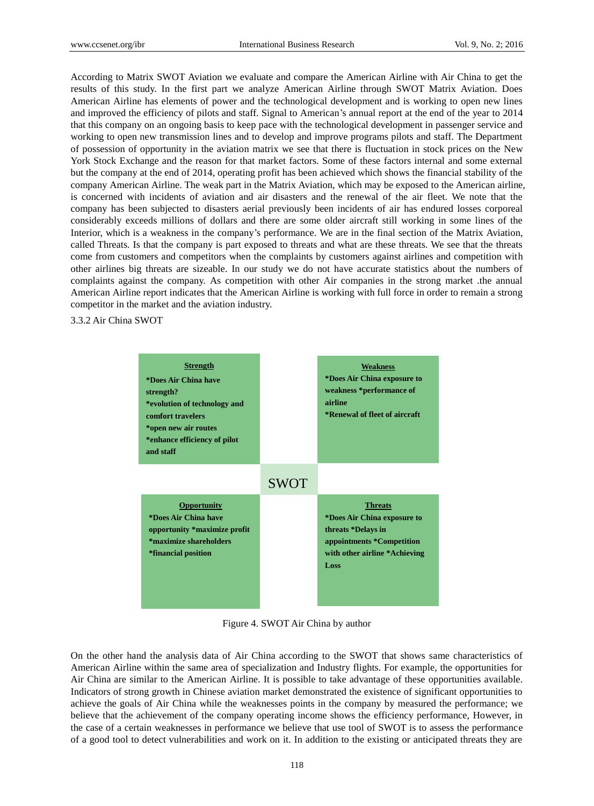According to Matrix SWOT Aviation we evaluate and compare the American Airline with Air China to get the results of this study. In the first part we analyze American Airline through SWOT Matrix Aviation. Does American Airline has elements of power and the technological development and is working to open new lines and improved the efficiency of pilots and staff. Signal to American's annual report at the end of the year to 2014 that this company on an ongoing basis to keep pace with the technological development in passenger service and working to open new transmission lines and to develop and improve programs pilots and staff. The Department of possession of opportunity in the aviation matrix we see that there is fluctuation in stock prices on the New York Stock Exchange and the reason for that market factors. Some of these factors internal and some external but the company at the end of 2014, operating profit has been achieved which shows the financial stability of the company American Airline. The weak part in the Matrix Aviation, which may be exposed to the American airline, is concerned with incidents of aviation and air disasters and the renewal of the air fleet. We note that the company has been subjected to disasters aerial previously been incidents of air has endured losses corporeal considerably exceeds millions of dollars and there are some older aircraft still working in some lines of the Interior, which is a weakness in the company's performance. We are in the final section of the Matrix Aviation, called Threats. Is that the company is part exposed to threats and what are these threats. We see that the threats come from customers and competitors when the complaints by customers against airlines and competition with other airlines big threats are sizeable. In our study we do not have accurate statistics about the numbers of complaints against the company. As competition with other Air companies in the strong market .the annual American Airline report indicates that the American Airline is working with full force in order to remain a strong competitor in the market and the aviation industry.

3.3.2 Air China SWOT



Figure 4. SWOT Air China by author

On the other hand the analysis data of Air China according to the SWOT that shows same characteristics of American Airline within the same area of specialization and Industry flights. For example, the opportunities for Air China are similar to the American Airline. It is possible to take advantage of these opportunities available. Indicators of strong growth in Chinese aviation market demonstrated the existence of significant opportunities to achieve the goals of Air China while the weaknesses points in the company by measured the performance; we believe that the achievement of the company operating income shows the efficiency performance, However, in the case of a certain weaknesses in performance we believe that use tool of SWOT is to assess the performance of a good tool to detect vulnerabilities and work on it. In addition to the existing or anticipated threats they are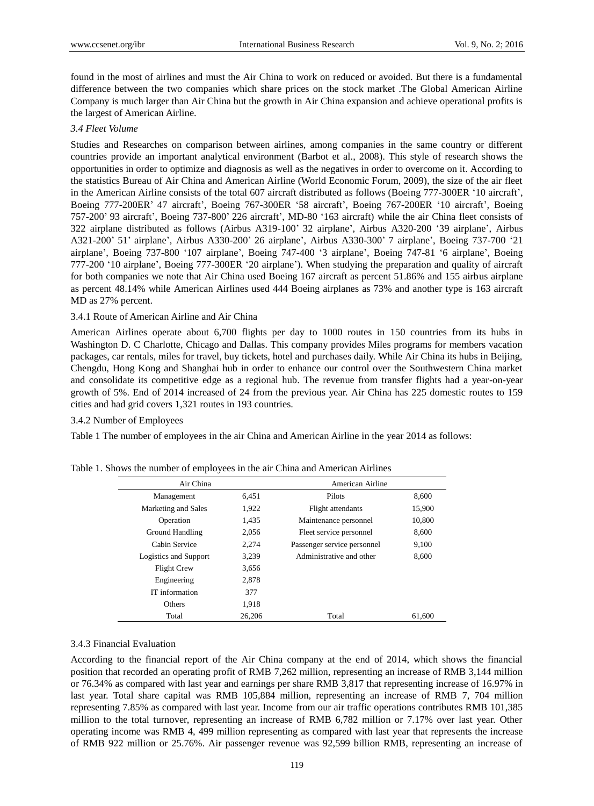found in the most of airlines and must the Air China to work on reduced or avoided. But there is a fundamental difference between the two companies which share prices on the stock market .The Global American Airline Company is much larger than Air China but the growth in Air China expansion and achieve operational profits is the largest of American Airline.

# *3.4 Fleet Volume*

Studies and Researches on comparison between airlines, among companies in the same country or different countries provide an important analytical environment (Barbot et al., 2008). This style of research shows the opportunities in order to optimize and diagnosis as well as the negatives in order to overcome on it. According to the statistics Bureau of Air China and American Airline (World Economic Forum, 2009), the size of the air fleet in the American Airline consists of the total 607 aircraft distributed as follows (Boeing 777-300ER '10 aircraft', Boeing 777-200ER' 47 aircraft', Boeing 767-300ER '58 aircraft', Boeing 767-200ER '10 aircraft', Boeing 757-200' 93 aircraft', Boeing 737-800' 226 aircraft', MD-80 '163 aircraft) while the air China fleet consists of 322 airplane distributed as follows (Airbus A319-100' 32 airplane', Airbus A320-200 '39 airplane', Airbus A321-200' 51' airplane', Airbus A330-200' 26 airplane', Airbus A330-300' 7 airplane', Boeing 737-700 '21 airplane', Boeing 737-800 '107 airplane', Boeing 747-400 '3 airplane', Boeing 747-81 '6 airplane', Boeing 777-200 '10 airplane', Boeing 777-300ER '20 airplane'). When studying the preparation and quality of aircraft for both companies we note that Air China used Boeing 167 aircraft as percent 51.86% and 155 airbus airplane as percent 48.14% while American Airlines used 444 Boeing airplanes as 73% and another type is 163 aircraft MD as 27% percent.

# 3.4.1 Route of American Airline and Air China

American Airlines operate about 6,700 flights per day to 1000 routes in 150 countries from its hubs in Washington D. C Charlotte, Chicago and Dallas. This company provides Miles programs for members vacation packages, car rentals, miles for travel, buy tickets, hotel and purchases daily. While Air China its hubs in Beijing, Chengdu, Hong Kong and Shanghai hub in order to enhance our control over the Southwestern China market and consolidate its competitive edge as a regional hub. The revenue from transfer flights had a year-on-year growth of 5%. End of 2014 increased of 24 from the previous year. Air China has 225 domestic routes to 159 cities and had grid covers 1,321 routes in 193 countries.

# 3.4.2 Number of Employees

Table 1 The number of employees in the air China and American Airline in the year 2014 as follows:

| Air China             |        | American Airline            |        |
|-----------------------|--------|-----------------------------|--------|
| Management            | 6,451  | Pilots                      | 8,600  |
| Marketing and Sales   | 1,922  | Flight attendants           | 15,900 |
| Operation             | 1,435  | Maintenance personnel       | 10,800 |
| Ground Handling       | 2.056  | Fleet service personnel     | 8,600  |
| Cabin Service         | 2,274  | Passenger service personnel | 9,100  |
| Logistics and Support | 3,239  | Administrative and other    | 8.600  |
| <b>Flight Crew</b>    | 3.656  |                             |        |
| Engineering           | 2.878  |                             |        |
| IT information        | 377    |                             |        |
| Others                | 1.918  |                             |        |
| Total                 | 26,206 | Total                       | 61,600 |

Table 1. Shows the number of employees in the air China and American Airlines

# 3.4.3 Financial Evaluation

According to the financial report of the Air China company at the end of 2014, which shows the financial position that recorded an operating profit of RMB 7,262 million, representing an increase of RMB 3,144 million or 76.34% as compared with last year and earnings per share RMB 3,817 that representing increase of 16.97% in last year. Total share capital was RMB 105,884 million, representing an increase of RMB 7, 704 million representing 7.85% as compared with last year. Income from our air traffic operations contributes RMB 101,385 million to the total turnover, representing an increase of RMB 6,782 million or 7.17% over last year. Other operating income was RMB 4, 499 million representing as compared with last year that represents the increase of RMB 922 million or 25.76%. Air passenger revenue was 92,599 billion RMB, representing an increase of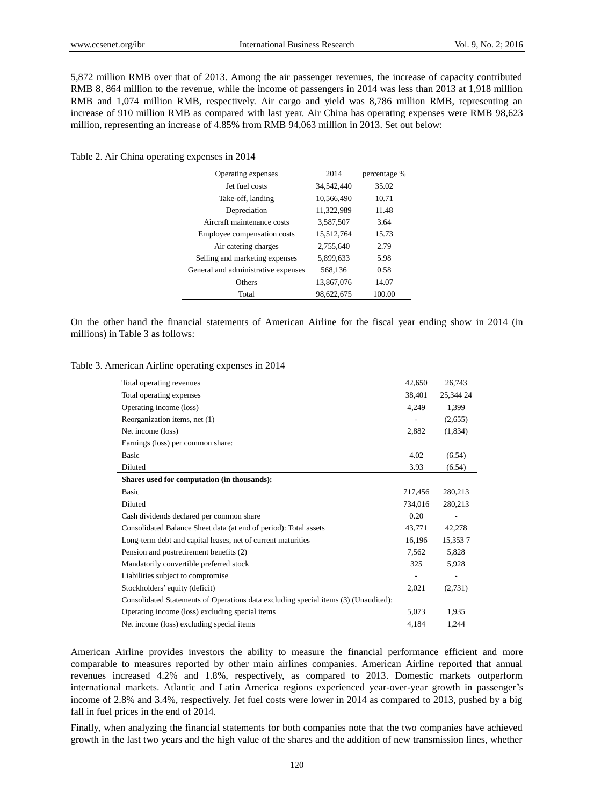5,872 million RMB over that of 2013. Among the air passenger revenues, the increase of capacity contributed RMB 8, 864 million to the revenue, while the income of passengers in 2014 was less than 2013 at 1,918 million RMB and 1,074 million RMB, respectively. Air cargo and yield was 8,786 million RMB, representing an increase of 910 million RMB as compared with last year. Air China has operating expenses were RMB 98,623 million, representing an increase of 4.85% from RMB 94,063 million in 2013. Set out below:

Table 2. Air China operating expenses in 2014

| Operating expenses                  | 2014       | percentage % |
|-------------------------------------|------------|--------------|
| Jet fuel costs                      | 34,542,440 | 35.02        |
| Take-off, landing                   | 10.566.490 | 10.71        |
| Depreciation                        | 11,322,989 | 11.48        |
| Aircraft maintenance costs          | 3.587.507  | 3.64         |
| Employee compensation costs         | 15,512,764 | 15.73        |
| Air catering charges                | 2.755.640  | 2.79         |
| Selling and marketing expenses      | 5.899.633  | 5.98         |
| General and administrative expenses | 568,136    | 0.58         |
| Others                              | 13.867.076 | 14.07        |
| Total                               | 98,622,675 | 100.00       |

On the other hand the financial statements of American Airline for the fiscal year ending show in 2014 (in millions) in Table 3 as follows:

| Table 3. American Airline operating expenses in 2014 |  |  |  |
|------------------------------------------------------|--|--|--|
|                                                      |  |  |  |

| Total operating revenues                                                            | 42,650  | 26,743                   |
|-------------------------------------------------------------------------------------|---------|--------------------------|
| Total operating expenses                                                            | 38,401  | 25,344 24                |
| Operating income (loss)                                                             | 4,249   | 1,399                    |
| Reorganization items, net (1)                                                       |         | (2,655)                  |
| Net income (loss)                                                                   | 2,882   | (1,834)                  |
| Earnings (loss) per common share:                                                   |         |                          |
| <b>Basic</b>                                                                        | 4.02    | (6.54)                   |
| Diluted                                                                             | 3.93    |                          |
|                                                                                     |         | (6.54)                   |
| Shares used for computation (in thousands):                                         |         |                          |
| <b>Basic</b>                                                                        | 717,456 | 280,213                  |
| Diluted                                                                             | 734,016 | 280,213                  |
| Cash dividends declared per common share                                            | 0.20    | ä,                       |
| Consolidated Balance Sheet data (at end of period): Total assets                    | 43,771  | 42,278                   |
| Long-term debt and capital leases, net of current maturities                        | 16,196  | 15,3537                  |
| Pension and postretirement benefits (2)                                             | 7,562   | 5,828                    |
| Mandatorily convertible preferred stock                                             | 325     | 5,928                    |
| Liabilities subject to compromise                                                   |         | $\overline{\phantom{m}}$ |
| Stockholders' equity (deficit)                                                      | 2,021   | (2,731)                  |
| Consolidated Statements of Operations data excluding special items (3) (Unaudited): |         |                          |
| Operating income (loss) excluding special items                                     | 5,073   | 1,935                    |
| Net income (loss) excluding special items                                           | 4,184   | 1,244                    |

American Airline provides investors the ability to measure the financial performance efficient and more comparable to measures reported by other main airlines companies. American Airline reported that annual revenues increased 4.2% and 1.8%, respectively, as compared to 2013. Domestic markets outperform international markets. Atlantic and Latin America regions experienced year-over-year growth in passenger's income of 2.8% and 3.4%, respectively. Jet fuel costs were lower in 2014 as compared to 2013, pushed by a big fall in fuel prices in the end of 2014.

Finally, when analyzing the financial statements for both companies note that the two companies have achieved growth in the last two years and the high value of the shares and the addition of new transmission lines, whether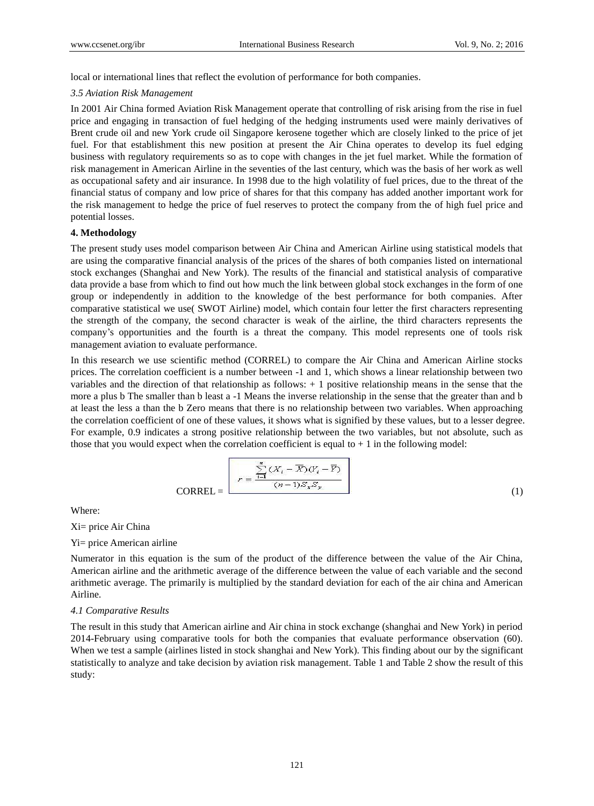local or international lines that reflect the evolution of performance for both companies.

## *3.5 Aviation Risk Management*

In 2001 Air China formed Aviation Risk Management operate that controlling of risk arising from the rise in fuel price and engaging in transaction of fuel hedging of the hedging instruments used were mainly derivatives of Brent crude oil and new York crude oil Singapore kerosene together which are closely linked to the price of jet fuel. For that establishment this new position at present the Air China operates to develop its fuel edging business with regulatory requirements so as to cope with changes in the jet fuel market. While the formation of risk management in American Airline in the seventies of the last century, which was the basis of her work as well as occupational safety and air insurance. In 1998 due to the high volatility of fuel prices, due to the threat of the financial status of company and low price of shares for that this company has added another important work for the risk management to hedge the price of fuel reserves to protect the company from the of high fuel price and potential losses.

## **4. Methodology**

The present study uses model comparison between Air China and American Airline using statistical models that are using the comparative financial analysis of the prices of the shares of both companies listed on international stock exchanges (Shanghai and New York). The results of the financial and statistical analysis of comparative data provide a base from which to find out how much the link between global stock exchanges in the form of one group or independently in addition to the knowledge of the best performance for both companies. After comparative statistical we use( SWOT Airline) model, which contain four letter the first characters representing the strength of the company, the second character is weak of the airline, the third characters represents the company's opportunities and the fourth is a threat the company. This model represents one of tools risk management aviation to evaluate performance.

In this research we use scientific method (CORREL) to compare the Air China and American Airline stocks prices. The correlation coefficient is a number between -1 and 1, which shows a linear relationship between two variables and the direction of that relationship as follows: + 1 positive relationship means in the sense that the more a plus b The smaller than b least a -1 Means the inverse relationship in the sense that the greater than and b at least the less a than the b Zero means that there is no relationship between two variables. When approaching the correlation coefficient of one of these values, it shows what is signified by these values, but to a lesser degree. For example, 0.9 indicates a strong positive relationship between the two variables, but not absolute, such as those that you would expect when the correlation coefficient is equal to  $+1$  in the following model:

$$
CORREL = \frac{\sum_{i=1}^{n} (X_i - \overline{X})(Y_i - \overline{Y})}{(n-1)S_xS_y}
$$
\n(1)

Where:

Xi= price Air China

## Yi= price American airline

Numerator in this equation is the sum of the product of the difference between the value of the Air China, American airline and the arithmetic average of the difference between the value of each variable and the second arithmetic average. The primarily is multiplied by the standard deviation for each of the air china and American Airline.

#### *4.1 Comparative Results*

The result in this study that American airline and Air china in stock exchange (shanghai and New York) in period 2014-February using comparative tools for both the companies that evaluate performance observation (60). When we test a sample (airlines listed in stock shanghai and New York). This finding about our by the significant statistically to analyze and take decision by aviation risk management. Table 1 and Table 2 show the result of this study: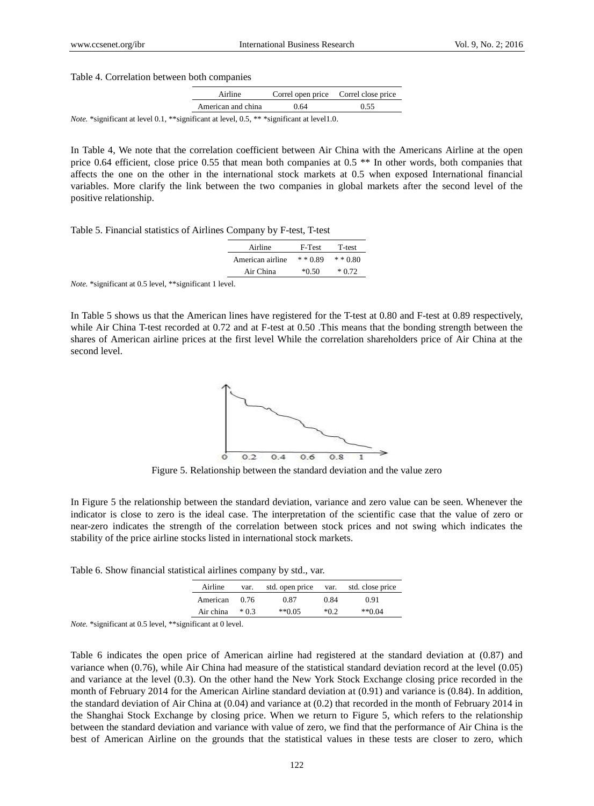Table 4. Correlation between both companies

| Airline            | Correl open price Correl close price |  |
|--------------------|--------------------------------------|--|
| American and china | 1.64                                 |  |

*Note.* \*significant at level 0.1, \*\*significant at level, 0.5, \*\* \*significant at level1.0.

In Table 4, We note that the correlation coefficient between Air China with the Americans Airline at the open price 0.64 efficient, close price 0.55 that mean both companies at 0.5 \*\* In other words, both companies that affects the one on the other in the international stock markets at 0.5 when exposed International financial variables. More clarify the link between the two companies in global markets after the second level of the positive relationship.

|  |  |  |  | Table 5. Financial statistics of Airlines Company by F-test, T-test |  |  |  |  |  |  |  |
|--|--|--|--|---------------------------------------------------------------------|--|--|--|--|--|--|--|
|--|--|--|--|---------------------------------------------------------------------|--|--|--|--|--|--|--|

| Airline          | F-Test     | T-test     |
|------------------|------------|------------|
| American airline | $* * 0.89$ | $* * 0.80$ |
| Air China        | $*0.50$    | $*0.72$    |

*Note.* \*significant at 0.5 level, \*\*significant 1 level.

In Table 5 shows us that the American lines have registered for the T-test at 0.80 and F-test at 0.89 respectively, while Air China T-test recorded at 0.72 and at F-test at 0.50. This means that the bonding strength between the shares of American airline prices at the first level While the correlation shareholders price of Air China at the second level.



Figure 5. Relationship between the standard deviation and the value zero

In Figure 5 the relationship between the standard deviation, variance and zero value can be seen. Whenever the indicator is close to zero is the ideal case. The interpretation of the scientific case that the value of zero or near-zero indicates the strength of the correlation between stock prices and not swing which indicates the stability of the price airline stocks listed in international stock markets.

Table 6. Show financial statistical airlines company by std., var.

| Airline   | var.  | std. open price | var. | std. close price |
|-----------|-------|-----------------|------|------------------|
| American  | 0.76  | 0.87            | 0.84 | 0.91             |
| Air china | $*03$ | **0.05          | *በ 2 | $*$ $*$ 0.04     |

*Note.* \*significant at 0.5 level, \*\*significant at 0 level.

Table 6 indicates the open price of American airline had registered at the standard deviation at (0.87) and variance when (0.76), while Air China had measure of the statistical standard deviation record at the level (0.05) and variance at the level (0.3). On the other hand the New York Stock Exchange closing price recorded in the month of February 2014 for the American Airline standard deviation at (0.91) and variance is (0.84). In addition, the standard deviation of Air China at (0.04) and variance at (0.2) that recorded in the month of February 2014 in the Shanghai Stock Exchange by closing price. When we return to Figure 5, which refers to the relationship between the standard deviation and variance with value of zero, we find that the performance of Air China is the best of American Airline on the grounds that the statistical values in these tests are closer to zero, which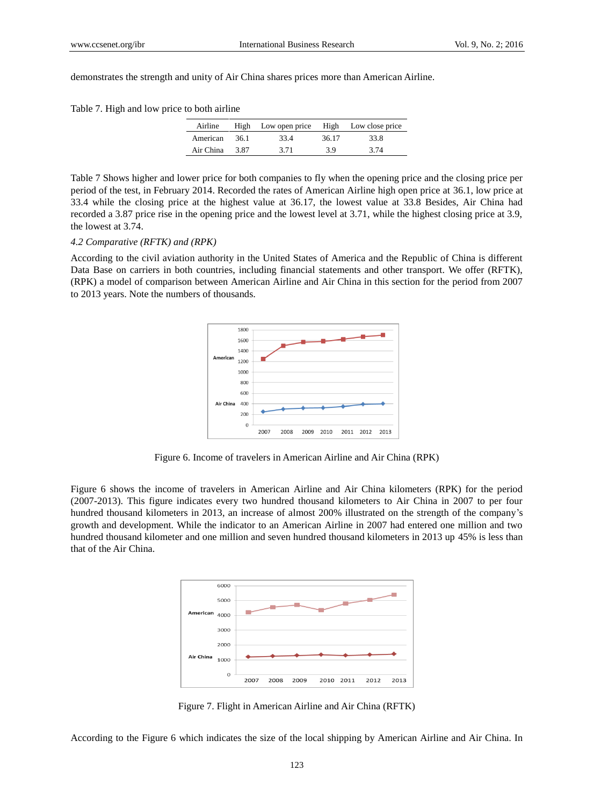demonstrates the strength and unity of Air China shares prices more than American Airline.

| Table 7. High and low price to both airline |  |  |
|---------------------------------------------|--|--|
|                                             |  |  |

| Airline        |        | High Low open price High Low close price |       |      |
|----------------|--------|------------------------------------------|-------|------|
| American       | - 36.1 | 33.4                                     | 36.17 | 33.8 |
| Air China 3.87 |        | 3.71                                     | 39    | 3.74 |

Table 7 Shows higher and lower price for both companies to fly when the opening price and the closing price per period of the test, in February 2014. Recorded the rates of American Airline high open price at 36.1, low price at 33.4 while the closing price at the highest value at 36.17, the lowest value at 33.8 Besides, Air China had recorded a 3.87 price rise in the opening price and the lowest level at 3.71, while the highest closing price at 3.9, the lowest at 3.74.

## *4.2 Comparative (RFTK) and (RPK)*

According to the civil aviation authority in the United States of America and the Republic of China is different Data Base on carriers in both countries, including financial statements and other transport. We offer (RFTK), (RPK) a model of comparison between American Airline and Air China in this section for the period from 2007 to 2013 years. Note the numbers of thousands.



Figure 6. Income of travelers in American Airline and Air China (RPK)

Figure 6 shows the income of travelers in American Airline and Air China kilometers (RPK) for the period (2007-2013). This figure indicates every two hundred thousand kilometers to Air China in 2007 to per four hundred thousand kilometers in 2013, an increase of almost 200% illustrated on the strength of the company's growth and development. While the indicator to an American Airline in 2007 had entered one million and two hundred thousand kilometer and one million and seven hundred thousand kilometers in 2013 up 45% is less than that of the Air China.



Figure 7. Flight in American Airline and Air China (RFTK)

According to the Figure 6 which indicates the size of the local shipping by American Airline and Air China. In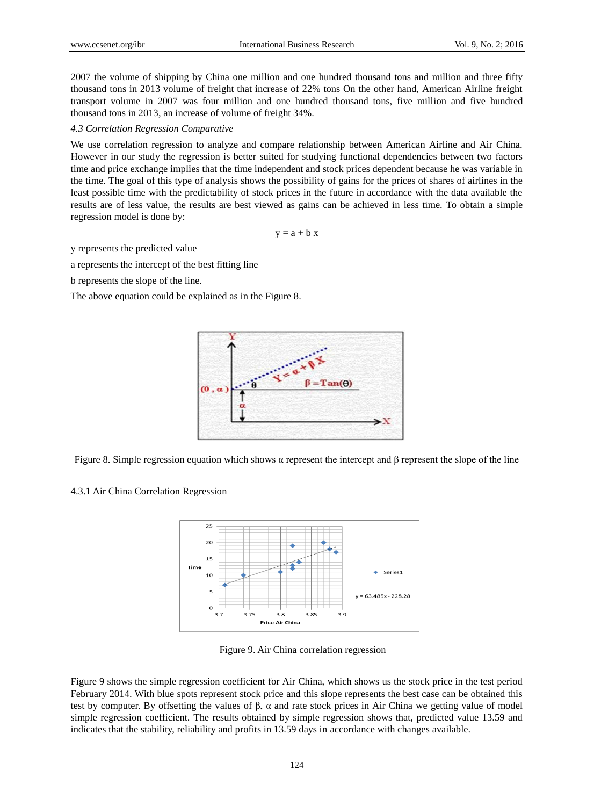2007 the volume of shipping by China one million and one hundred thousand tons and million and three fifty thousand tons in 2013 volume of freight that increase of 22% tons On the other hand, American Airline freight transport volume in 2007 was four million and one hundred thousand tons, five million and five hundred thousand tons in 2013, an increase of volume of freight 34%.

#### *4.3 Correlation Regression Comparative*

We use correlation regression to analyze and compare relationship between American Airline and Air China. However in our study the regression is better suited for studying functional dependencies between two factors time and price exchange implies that the time independent and stock prices dependent because he was variable in the time. The goal of this type of analysis shows the possibility of gains for the prices of shares of airlines in the least possible time with the predictability of stock prices in the future in accordance with the data available the results are of less value, the results are best viewed as gains can be achieved in less time. To obtain a simple regression model is done by:

 $y = a + b x$ 

y represents the predicted value

a represents the intercept of the best fitting line

b represents the slope of the line.

The above equation could be explained as in the Figure 8.



Figure 8. Simple regression equation which shows  $\alpha$  represent the intercept and β represent the slope of the line

## 4.3.1 Air China Correlation Regression



Figure 9. Air China correlation regression

Figure 9 shows the simple regression coefficient for Air China, which shows us the stock price in the test period February 2014. With blue spots represent stock price and this slope represents the best case can be obtained this test by computer. By offsetting the values of β,  $\alpha$  and rate stock prices in Air China we getting value of model simple regression coefficient. The results obtained by simple regression shows that, predicted value 13.59 and indicates that the stability, reliability and profits in 13.59 days in accordance with changes available.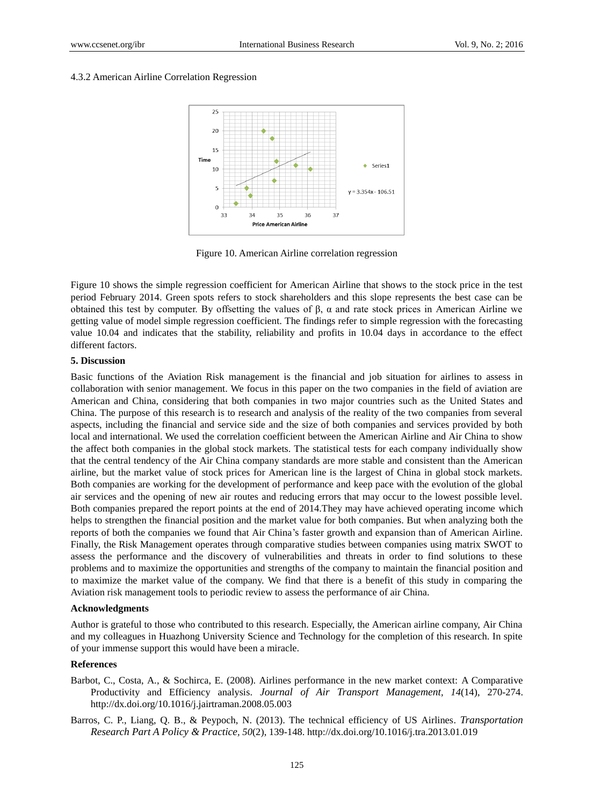#### 4.3.2 American Airline Correlation Regression



Figure 10. American Airline correlation regression

Figure 10 shows the simple regression coefficient for American Airline that shows to the stock price in the test period February 2014. Green spots refers to stock shareholders and this slope represents the best case can be obtained this test by computer. By offsetting the values of β, α and rate stock prices in American Airline we getting value of model simple regression coefficient. The findings refer to simple regression with the forecasting value 10.04 and indicates that the stability, reliability and profits in 10.04 days in accordance to the effect different factors.

## **5. Discussion**

Basic functions of the Aviation Risk management is the financial and job situation for airlines to assess in collaboration with senior management. We focus in this paper on the two companies in the field of aviation are American and China, considering that both companies in two major countries such as the United States and China. The purpose of this research is to research and analysis of the reality of the two companies from several aspects, including the financial and service side and the size of both companies and services provided by both local and international. We used the correlation coefficient between the American Airline and Air China to show the affect both companies in the global stock markets. The statistical tests for each company individually show that the central tendency of the Air China company standards are more stable and consistent than the American airline, but the market value of stock prices for American line is the largest of China in global stock markets. Both companies are working for the development of performance and keep pace with the evolution of the global air services and the opening of new air routes and reducing errors that may occur to the lowest possible level. Both companies prepared the report points at the end of 2014.They may have achieved operating income which helps to strengthen the financial position and the market value for both companies. But when analyzing both the reports of both the companies we found that Air China's faster growth and expansion than of American Airline. Finally, the Risk Management operates through comparative studies between companies using matrix SWOT to assess the performance and the discovery of vulnerabilities and threats in order to find solutions to these problems and to maximize the opportunities and strengths of the company to maintain the financial position and to maximize the market value of the company. We find that there is a benefit of this study in comparing the Aviation risk management tools to periodic review to assess the performance of air China.

## **Acknowledgments**

Author is grateful to those who contributed to this research. Especially, the American airline company, Air China and my colleagues in Huazhong University Science and Technology for the completion of this research. In spite of your immense support this would have been a miracle.

#### **References**

- Barbot, C., Costa, A., & Sochirca, E. (2008). Airlines performance in the new market context: A Comparative Productivity and Efficiency analysis. *[Journal of Air Transport Management](http://xueshu.baidu.com/s?wd=journaluri%3A%28eba82f6149a9e82d%29%20%E3%80%8AJournal%20of%20Air%20Transport%20Management%E3%80%8B&tn=SE_baiduxueshu_c1gjeupa&ie=utf-8&sc_f_para=sc_hilight%3Dpublish&sort=sc_cited), 14*(14), 270-274. <http://dx.doi.org/10.1016/j.jairtraman.2008.05.003>
- Barros, C. P., Liang, Q. B., & Peypoch, N. (2013). The technical efficiency of US Airlines. *[Transportation](http://xueshu.baidu.com/s?wd=journaluri%3A%2819800e4cae08a62c%29%20%E3%80%8ATransportation%20Research%20Part%20A%20Policy%20%26%20Practice%E3%80%8B&tn=SE_baiduxueshu_c1gjeupa&ie=utf-8&sc_f_para=sc_hilight%3Dpublish&sort=sc_cited)  [Research Part A Policy & Practice](http://xueshu.baidu.com/s?wd=journaluri%3A%2819800e4cae08a62c%29%20%E3%80%8ATransportation%20Research%20Part%20A%20Policy%20%26%20Practice%E3%80%8B&tn=SE_baiduxueshu_c1gjeupa&ie=utf-8&sc_f_para=sc_hilight%3Dpublish&sort=sc_cited), 50*(2), 139-148. <http://dx.doi.org/10.1016/j.tra.2013.01.019>